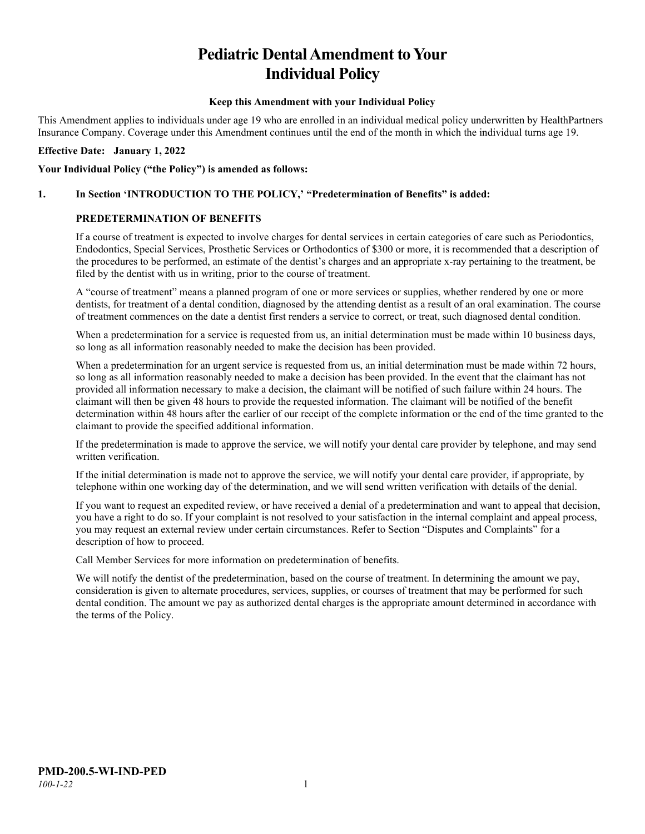# **Pediatric Dental Amendment to Your Individual Policy**

#### **Keep this Amendment with your Individual Policy**

This Amendment applies to individuals under age 19 who are enrolled in an individual medical policy underwritten by HealthPartners Insurance Company. Coverage under this Amendment continues until the end of the month in which the individual turns age 19.

#### **Effective Date: January 1, 2022**

#### **Your Individual Policy ("the Policy") is amended as follows:**

#### **1. In Section 'INTRODUCTION TO THE POLICY,' "Predetermination of Benefits" is added:**

#### **PREDETERMINATION OF BENEFITS**

If a course of treatment is expected to involve charges for dental services in certain categories of care such as Periodontics, Endodontics, Special Services, Prosthetic Services or Orthodontics of \$300 or more, it is recommended that a description of the procedures to be performed, an estimate of the dentist's charges and an appropriate x-ray pertaining to the treatment, be filed by the dentist with us in writing, prior to the course of treatment.

A "course of treatment" means a planned program of one or more services or supplies, whether rendered by one or more dentists, for treatment of a dental condition, diagnosed by the attending dentist as a result of an oral examination. The course of treatment commences on the date a dentist first renders a service to correct, or treat, such diagnosed dental condition.

When a predetermination for a service is requested from us, an initial determination must be made within 10 business days, so long as all information reasonably needed to make the decision has been provided.

When a predetermination for an urgent service is requested from us, an initial determination must be made within 72 hours, so long as all information reasonably needed to make a decision has been provided. In the event that the claimant has not provided all information necessary to make a decision, the claimant will be notified of such failure within 24 hours. The claimant will then be given 48 hours to provide the requested information. The claimant will be notified of the benefit determination within 48 hours after the earlier of our receipt of the complete information or the end of the time granted to the claimant to provide the specified additional information.

If the predetermination is made to approve the service, we will notify your dental care provider by telephone, and may send written verification.

If the initial determination is made not to approve the service, we will notify your dental care provider, if appropriate, by telephone within one working day of the determination, and we will send written verification with details of the denial.

If you want to request an expedited review, or have received a denial of a predetermination and want to appeal that decision, you have a right to do so. If your complaint is not resolved to your satisfaction in the internal complaint and appeal process, you may request an external review under certain circumstances. Refer to Section "Disputes and Complaints" for a description of how to proceed.

Call Member Services for more information on predetermination of benefits.

We will notify the dentist of the predetermination, based on the course of treatment. In determining the amount we pay, consideration is given to alternate procedures, services, supplies, or courses of treatment that may be performed for such dental condition. The amount we pay as authorized dental charges is the appropriate amount determined in accordance with the terms of the Policy.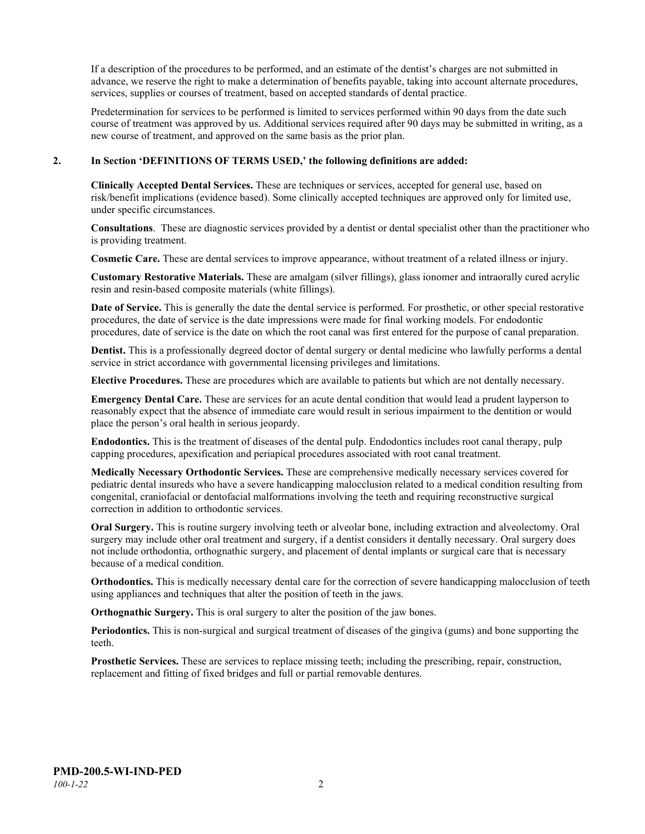If a description of the procedures to be performed, and an estimate of the dentist's charges are not submitted in advance, we reserve the right to make a determination of benefits payable, taking into account alternate procedures, services, supplies or courses of treatment, based on accepted standards of dental practice.

Predetermination for services to be performed is limited to services performed within 90 days from the date such course of treatment was approved by us. Additional services required after 90 days may be submitted in writing, as a new course of treatment, and approved on the same basis as the prior plan.

#### **2. In Section 'DEFINITIONS OF TERMS USED,' the following definitions are added:**

**Clinically Accepted Dental Services.** These are techniques or services, accepted for general use, based on risk/benefit implications (evidence based). Some clinically accepted techniques are approved only for limited use, under specific circumstances.

**Consultations**. These are diagnostic services provided by a dentist or dental specialist other than the practitioner who is providing treatment.

**Cosmetic Care.** These are dental services to improve appearance, without treatment of a related illness or injury.

**Customary Restorative Materials.** These are amalgam (silver fillings), glass ionomer and intraorally cured acrylic resin and resin-based composite materials (white fillings).

**Date of Service.** This is generally the date the dental service is performed. For prosthetic, or other special restorative procedures, the date of service is the date impressions were made for final working models. For endodontic procedures, date of service is the date on which the root canal was first entered for the purpose of canal preparation.

**Dentist.** This is a professionally degreed doctor of dental surgery or dental medicine who lawfully performs a dental service in strict accordance with governmental licensing privileges and limitations.

**Elective Procedures.** These are procedures which are available to patients but which are not dentally necessary.

**Emergency Dental Care.** These are services for an acute dental condition that would lead a prudent layperson to reasonably expect that the absence of immediate care would result in serious impairment to the dentition or would place the person's oral health in serious jeopardy.

**Endodontics.** This is the treatment of diseases of the dental pulp. Endodontics includes root canal therapy, pulp capping procedures, apexification and periapical procedures associated with root canal treatment.

**Medically Necessary Orthodontic Services.** These are comprehensive medically necessary services covered for pediatric dental insureds who have a severe handicapping malocclusion related to a medical condition resulting from congenital, craniofacial or dentofacial malformations involving the teeth and requiring reconstructive surgical correction in addition to orthodontic services.

**Oral Surgery.** This is routine surgery involving teeth or alveolar bone, including extraction and alveolectomy. Oral surgery may include other oral treatment and surgery, if a dentist considers it dentally necessary. Oral surgery does not include orthodontia, orthognathic surgery, and placement of dental implants or surgical care that is necessary because of a medical condition.

**Orthodontics.** This is medically necessary dental care for the correction of severe handicapping malocclusion of teeth using appliances and techniques that alter the position of teeth in the jaws.

**Orthognathic Surgery.** This is oral surgery to alter the position of the jaw bones.

**Periodontics.** This is non-surgical and surgical treatment of diseases of the gingiva (gums) and bone supporting the teeth.

**Prosthetic Services.** These are services to replace missing teeth; including the prescribing, repair, construction, replacement and fitting of fixed bridges and full or partial removable dentures.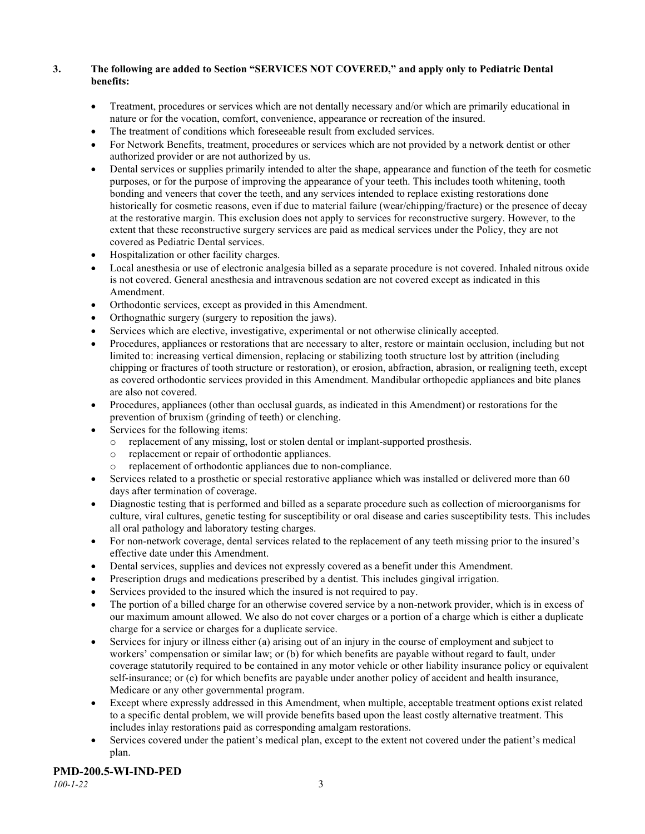## **3. The following are added to Section "SERVICES NOT COVERED," and apply only to Pediatric Dental benefits:**

- Treatment, procedures or services which are not dentally necessary and/or which are primarily educational in nature or for the vocation, comfort, convenience, appearance or recreation of the insured.
- The treatment of conditions which foreseeable result from excluded services.
- For Network Benefits, treatment, procedures or services which are not provided by a network dentist or other authorized provider or are not authorized by us.
- Dental services or supplies primarily intended to alter the shape, appearance and function of the teeth for cosmetic purposes, or for the purpose of improving the appearance of your teeth. This includes tooth whitening, tooth bonding and veneers that cover the teeth, and any services intended to replace existing restorations done historically for cosmetic reasons, even if due to material failure (wear/chipping/fracture) or the presence of decay at the restorative margin. This exclusion does not apply to services for reconstructive surgery. However, to the extent that these reconstructive surgery services are paid as medical services under the Policy, they are not covered as Pediatric Dental services.
- Hospitalization or other facility charges.
- Local anesthesia or use of electronic analgesia billed as a separate procedure is not covered. Inhaled nitrous oxide is not covered. General anesthesia and intravenous sedation are not covered except as indicated in this Amendment.
- Orthodontic services, except as provided in this Amendment.
- Orthognathic surgery (surgery to reposition the jaws).
- Services which are elective, investigative, experimental or not otherwise clinically accepted.
- Procedures, appliances or restorations that are necessary to alter, restore or maintain occlusion, including but not limited to: increasing vertical dimension, replacing or stabilizing tooth structure lost by attrition (including chipping or fractures of tooth structure or restoration), or erosion, abfraction, abrasion, or realigning teeth, except as covered orthodontic services provided in this Amendment. Mandibular orthopedic appliances and bite planes are also not covered.
- Procedures, appliances (other than occlusal guards, as indicated in this Amendment) or restorations for the prevention of bruxism (grinding of teeth) or clenching.
- Services for the following items:
	- o replacement of any missing, lost or stolen dental or implant-supported prosthesis.
	- replacement or repair of orthodontic appliances.
	- replacement of orthodontic appliances due to non-compliance.
- Services related to a prosthetic or special restorative appliance which was installed or delivered more than 60 days after termination of coverage.
- Diagnostic testing that is performed and billed as a separate procedure such as collection of microorganisms for culture, viral cultures, genetic testing for susceptibility or oral disease and caries susceptibility tests. This includes all oral pathology and laboratory testing charges.
- For non-network coverage, dental services related to the replacement of any teeth missing prior to the insured's effective date under this Amendment.
- Dental services, supplies and devices not expressly covered as a benefit under this Amendment.
- Prescription drugs and medications prescribed by a dentist. This includes gingival irrigation.
- Services provided to the insured which the insured is not required to pay.
- The portion of a billed charge for an otherwise covered service by a non-network provider, which is in excess of our maximum amount allowed. We also do not cover charges or a portion of a charge which is either a duplicate charge for a service or charges for a duplicate service.
- Services for injury or illness either (a) arising out of an injury in the course of employment and subject to workers' compensation or similar law; or (b) for which benefits are payable without regard to fault, under coverage statutorily required to be contained in any motor vehicle or other liability insurance policy or equivalent self-insurance; or (c) for which benefits are payable under another policy of accident and health insurance, Medicare or any other governmental program.
- Except where expressly addressed in this Amendment, when multiple, acceptable treatment options exist related to a specific dental problem, we will provide benefits based upon the least costly alternative treatment. This includes inlay restorations paid as corresponding amalgam restorations.
- Services covered under the patient's medical plan, except to the extent not covered under the patient's medical plan.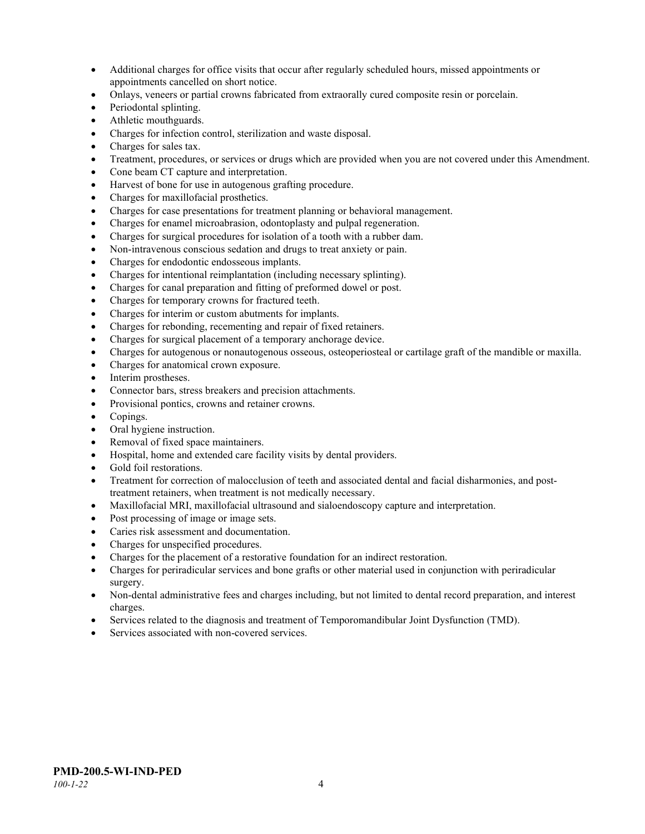- Additional charges for office visits that occur after regularly scheduled hours, missed appointments or appointments cancelled on short notice.
- Onlays, veneers or partial crowns fabricated from extraorally cured composite resin or porcelain.
- Periodontal splinting.
- Athletic mouthguards.
- Charges for infection control, sterilization and waste disposal.
- Charges for sales tax.
- Treatment, procedures, or services or drugs which are provided when you are not covered under this Amendment.
- Cone beam CT capture and interpretation.
- Harvest of bone for use in autogenous grafting procedure.
- Charges for maxillofacial prosthetics.
- Charges for case presentations for treatment planning or behavioral management.
- Charges for enamel microabrasion, odontoplasty and pulpal regeneration.
- Charges for surgical procedures for isolation of a tooth with a rubber dam.
- Non-intravenous conscious sedation and drugs to treat anxiety or pain.
- Charges for endodontic endosseous implants.
- Charges for intentional reimplantation (including necessary splinting).
- Charges for canal preparation and fitting of preformed dowel or post.
- Charges for temporary crowns for fractured teeth.
- Charges for interim or custom abutments for implants.
- Charges for rebonding, recementing and repair of fixed retainers.
- Charges for surgical placement of a temporary anchorage device.
- Charges for autogenous or nonautogenous osseous, osteoperiosteal or cartilage graft of the mandible or maxilla.
- Charges for anatomical crown exposure.
- Interim prostheses.
- Connector bars, stress breakers and precision attachments.
- Provisional pontics, crowns and retainer crowns.
- Copings.
- Oral hygiene instruction.
- Removal of fixed space maintainers.
- Hospital, home and extended care facility visits by dental providers.
- Gold foil restorations.
- Treatment for correction of malocclusion of teeth and associated dental and facial disharmonies, and posttreatment retainers, when treatment is not medically necessary.
- Maxillofacial MRI, maxillofacial ultrasound and sialoendoscopy capture and interpretation.
- Post processing of image or image sets.
- Caries risk assessment and documentation.
- Charges for unspecified procedures.
- Charges for the placement of a restorative foundation for an indirect restoration.
- Charges for periradicular services and bone grafts or other material used in conjunction with periradicular surgery.
- Non-dental administrative fees and charges including, but not limited to dental record preparation, and interest charges.
- Services related to the diagnosis and treatment of Temporomandibular Joint Dysfunction (TMD).
- Services associated with non-covered services.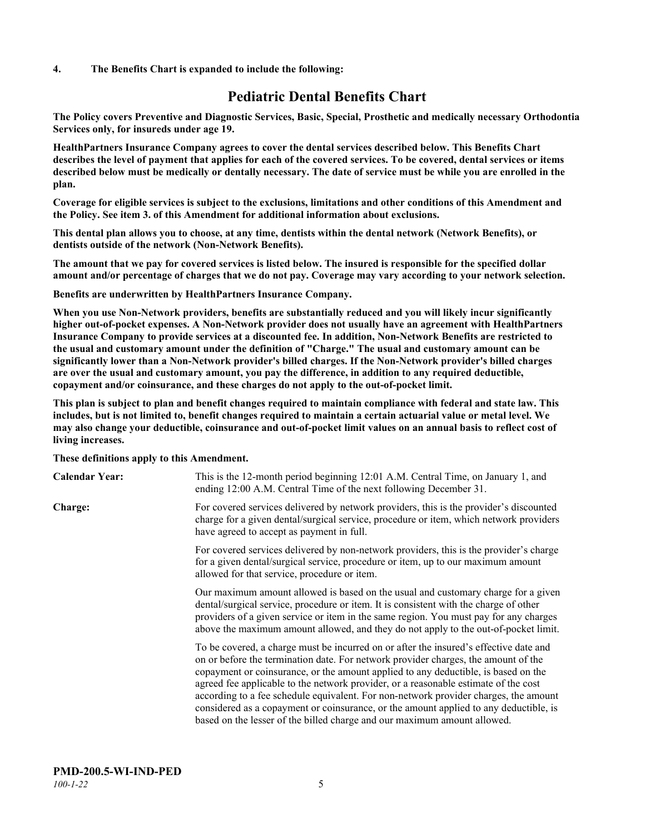#### **4. The Benefits Chart is expanded to include the following:**

## **Pediatric Dental Benefits Chart**

**The Policy covers Preventive and Diagnostic Services, Basic, Special, Prosthetic and medically necessary Orthodontia Services only, for insureds under age 19.**

**HealthPartners Insurance Company agrees to cover the dental services described below. This Benefits Chart describes the level of payment that applies for each of the covered services. To be covered, dental services or items described below must be medically or dentally necessary. The date of service must be while you are enrolled in the plan.**

**Coverage for eligible services is subject to the exclusions, limitations and other conditions of this Amendment and the Policy. See item 3. of this Amendment for additional information about exclusions.**

**This dental plan allows you to choose, at any time, dentists within the dental network (Network Benefits), or dentists outside of the network (Non-Network Benefits).**

**The amount that we pay for covered services is listed below. The insured is responsible for the specified dollar amount and/or percentage of charges that we do not pay. Coverage may vary according to your network selection.**

**Benefits are underwritten by HealthPartners Insurance Company.**

**When you use Non-Network providers, benefits are substantially reduced and you will likely incur significantly higher out-of-pocket expenses. A Non-Network provider does not usually have an agreement with HealthPartners Insurance Company to provide services at a discounted fee. In addition, Non-Network Benefits are restricted to the usual and customary amount under the definition of "Charge." The usual and customary amount can be significantly lower than a Non-Network provider's billed charges. If the Non-Network provider's billed charges are over the usual and customary amount, you pay the difference, in addition to any required deductible, copayment and/or coinsurance, and these charges do not apply to the out-of-pocket limit.**

**This plan is subject to plan and benefit changes required to maintain compliance with federal and state law. This includes, but is not limited to, benefit changes required to maintain a certain actuarial value or metal level. We may also change your deductible, coinsurance and out-of-pocket limit values on an annual basis to reflect cost of living increases.**

#### **These definitions apply to this Amendment.**

| <b>Calendar Year:</b> | This is the 12-month period beginning 12:01 A.M. Central Time, on January 1, and<br>ending 12:00 A.M. Central Time of the next following December 31.                                                                                                                                                                                                                                                                                                                                                                                                                                                                 |
|-----------------------|-----------------------------------------------------------------------------------------------------------------------------------------------------------------------------------------------------------------------------------------------------------------------------------------------------------------------------------------------------------------------------------------------------------------------------------------------------------------------------------------------------------------------------------------------------------------------------------------------------------------------|
| <b>Charge:</b>        | For covered services delivered by network providers, this is the provider's discounted<br>charge for a given dental/surgical service, procedure or item, which network providers<br>have agreed to accept as payment in full.                                                                                                                                                                                                                                                                                                                                                                                         |
|                       | For covered services delivered by non-network providers, this is the provider's charge<br>for a given dental/surgical service, procedure or item, up to our maximum amount<br>allowed for that service, procedure or item.                                                                                                                                                                                                                                                                                                                                                                                            |
|                       | Our maximum amount allowed is based on the usual and customary charge for a given<br>dental/surgical service, procedure or item. It is consistent with the charge of other<br>providers of a given service or item in the same region. You must pay for any charges<br>above the maximum amount allowed, and they do not apply to the out-of-pocket limit.                                                                                                                                                                                                                                                            |
|                       | To be covered, a charge must be incurred on or after the insured's effective date and<br>on or before the termination date. For network provider charges, the amount of the<br>copayment or coinsurance, or the amount applied to any deductible, is based on the<br>agreed fee applicable to the network provider, or a reasonable estimate of the cost<br>according to a fee schedule equivalent. For non-network provider charges, the amount<br>considered as a copayment or coinsurance, or the amount applied to any deductible, is<br>based on the lesser of the billed charge and our maximum amount allowed. |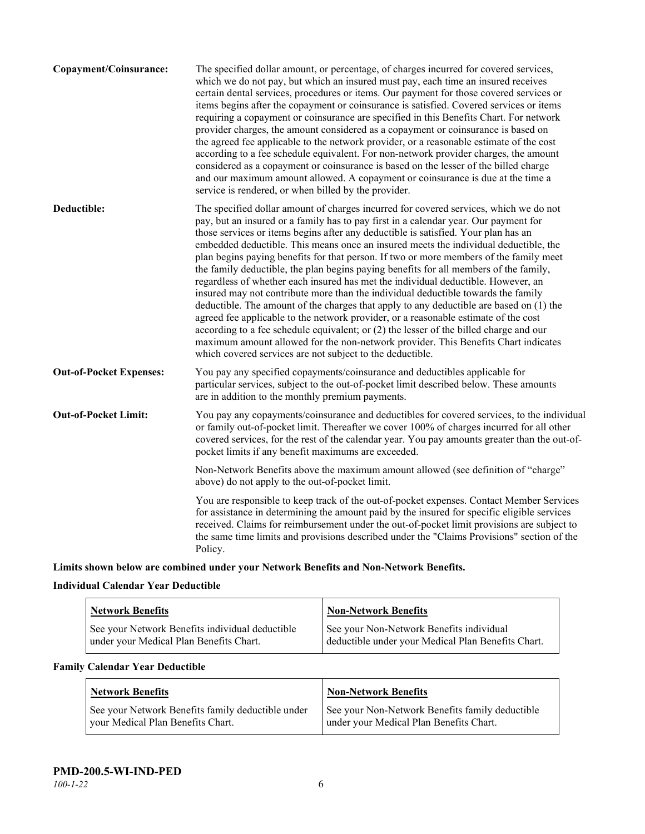| Copayment/Coinsurance:         | The specified dollar amount, or percentage, of charges incurred for covered services,<br>which we do not pay, but which an insured must pay, each time an insured receives<br>certain dental services, procedures or items. Our payment for those covered services or<br>items begins after the copayment or coinsurance is satisfied. Covered services or items<br>requiring a copayment or coinsurance are specified in this Benefits Chart. For network<br>provider charges, the amount considered as a copayment or coinsurance is based on<br>the agreed fee applicable to the network provider, or a reasonable estimate of the cost<br>according to a fee schedule equivalent. For non-network provider charges, the amount<br>considered as a copayment or coinsurance is based on the lesser of the billed charge<br>and our maximum amount allowed. A copayment or coinsurance is due at the time a<br>service is rendered, or when billed by the provider.                                                                                                                                                                                   |
|--------------------------------|---------------------------------------------------------------------------------------------------------------------------------------------------------------------------------------------------------------------------------------------------------------------------------------------------------------------------------------------------------------------------------------------------------------------------------------------------------------------------------------------------------------------------------------------------------------------------------------------------------------------------------------------------------------------------------------------------------------------------------------------------------------------------------------------------------------------------------------------------------------------------------------------------------------------------------------------------------------------------------------------------------------------------------------------------------------------------------------------------------------------------------------------------------|
| Deductible:                    | The specified dollar amount of charges incurred for covered services, which we do not<br>pay, but an insured or a family has to pay first in a calendar year. Our payment for<br>those services or items begins after any deductible is satisfied. Your plan has an<br>embedded deductible. This means once an insured meets the individual deductible, the<br>plan begins paying benefits for that person. If two or more members of the family meet<br>the family deductible, the plan begins paying benefits for all members of the family,<br>regardless of whether each insured has met the individual deductible. However, an<br>insured may not contribute more than the individual deductible towards the family<br>deductible. The amount of the charges that apply to any deductible are based on (1) the<br>agreed fee applicable to the network provider, or a reasonable estimate of the cost<br>according to a fee schedule equivalent; or (2) the lesser of the billed charge and our<br>maximum amount allowed for the non-network provider. This Benefits Chart indicates<br>which covered services are not subject to the deductible. |
| <b>Out-of-Pocket Expenses:</b> | You pay any specified copayments/coinsurance and deductibles applicable for<br>particular services, subject to the out-of-pocket limit described below. These amounts<br>are in addition to the monthly premium payments.                                                                                                                                                                                                                                                                                                                                                                                                                                                                                                                                                                                                                                                                                                                                                                                                                                                                                                                               |
| <b>Out-of-Pocket Limit:</b>    | You pay any copayments/coinsurance and deductibles for covered services, to the individual<br>or family out-of-pocket limit. Thereafter we cover 100% of charges incurred for all other<br>covered services, for the rest of the calendar year. You pay amounts greater than the out-of-<br>pocket limits if any benefit maximums are exceeded.                                                                                                                                                                                                                                                                                                                                                                                                                                                                                                                                                                                                                                                                                                                                                                                                         |
|                                | Non-Network Benefits above the maximum amount allowed (see definition of "charge"<br>above) do not apply to the out-of-pocket limit.                                                                                                                                                                                                                                                                                                                                                                                                                                                                                                                                                                                                                                                                                                                                                                                                                                                                                                                                                                                                                    |
|                                | You are responsible to keep track of the out-of-pocket expenses. Contact Member Services<br>for assistance in determining the amount paid by the insured for specific eligible services<br>received. Claims for reimbursement under the out-of-pocket limit provisions are subject to<br>the same time limits and provisions described under the "Claims Provisions" section of the<br>Policy.                                                                                                                                                                                                                                                                                                                                                                                                                                                                                                                                                                                                                                                                                                                                                          |
|                                |                                                                                                                                                                                                                                                                                                                                                                                                                                                                                                                                                                                                                                                                                                                                                                                                                                                                                                                                                                                                                                                                                                                                                         |

**Limits shown below are combined under your Network Benefits and Non-Network Benefits.**

## **Individual Calendar Year Deductible**

| <b>Network Benefits</b>                                                                    | <b>Non-Network Benefits</b>                                                                    |
|--------------------------------------------------------------------------------------------|------------------------------------------------------------------------------------------------|
| See your Network Benefits individual deductible<br>under your Medical Plan Benefits Chart. | See your Non-Network Benefits individual<br>deductible under your Medical Plan Benefits Chart. |

## **Family Calendar Year Deductible**

| <b>Network Benefits</b>                           | <b>Non-Network Benefits</b>                     |
|---------------------------------------------------|-------------------------------------------------|
| See your Network Benefits family deductible under | See your Non-Network Benefits family deductible |
| your Medical Plan Benefits Chart.                 | under your Medical Plan Benefits Chart.         |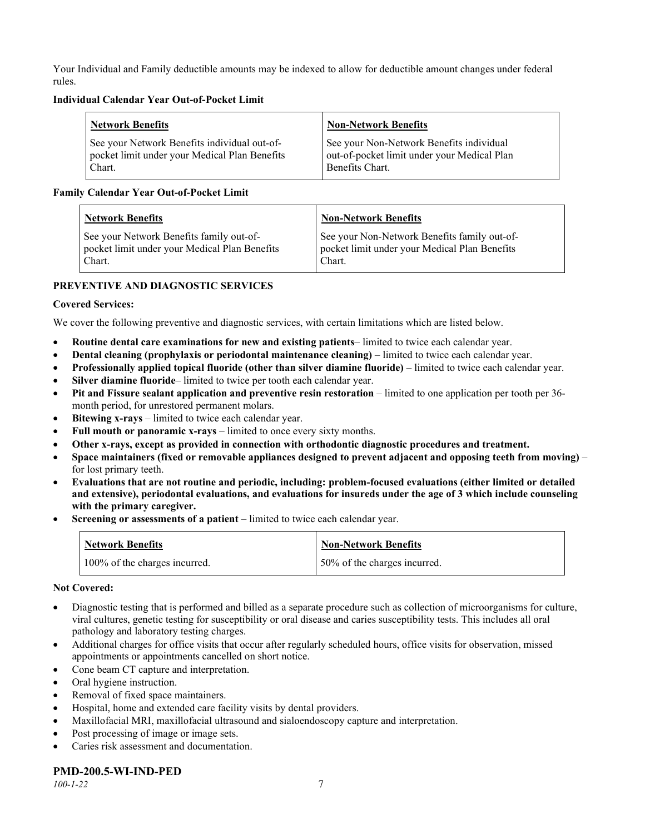Your Individual and Family deductible amounts may be indexed to allow for deductible amount changes under federal rules.

#### **Individual Calendar Year Out-of-Pocket Limit**

| Network Benefits                              | <b>Non-Network Benefits</b>                 |
|-----------------------------------------------|---------------------------------------------|
| See your Network Benefits individual out-of-  | See your Non-Network Benefits individual    |
| pocket limit under your Medical Plan Benefits | out-of-pocket limit under your Medical Plan |
| Chart.                                        | Benefits Chart.                             |

### **Family Calendar Year Out-of-Pocket Limit**

| <b>Network Benefits</b>                       | <b>Non-Network Benefits</b>                   |
|-----------------------------------------------|-----------------------------------------------|
| See your Network Benefits family out-of-      | See your Non-Network Benefits family out-of-  |
| pocket limit under your Medical Plan Benefits | pocket limit under your Medical Plan Benefits |
| Chart.                                        | Chart.                                        |

## **PREVENTIVE AND DIAGNOSTIC SERVICES**

### **Covered Services:**

We cover the following preventive and diagnostic services, with certain limitations which are listed below.

- **Routine dental care examinations for new and existing patients** limited to twice each calendar year.
- **Dental cleaning (prophylaxis or periodontal maintenance cleaning)** limited to twice each calendar year.
- **Professionally applied topical fluoride (other than silver diamine fluoride)** limited to twice each calendar year.
- **Silver diamine fluoride** limited to twice per tooth each calendar year.
- **Pit and Fissure sealant application and preventive resin restoration** limited to one application per tooth per 36 month period, for unrestored permanent molars.
- **Bitewing x-rays** limited to twice each calendar year.
- **Full mouth or panoramic x-rays** limited to once every sixty months.
- **Other x-rays, except as provided in connection with orthodontic diagnostic procedures and treatment.**
- **Space maintainers (fixed or removable appliances designed to prevent adjacent and opposing teeth from moving)** for lost primary teeth.
- **Evaluations that are not routine and periodic, including: problem-focused evaluations (either limited or detailed and extensive), periodontal evaluations, and evaluations for insureds under the age of 3 which include counseling with the primary caregiver.**
- **Screening or assessments of a patient** limited to twice each calendar year.

| <b>Network Benefits</b>       | <b>Non-Network Benefits</b>  |
|-------------------------------|------------------------------|
| 100% of the charges incurred. | 50% of the charges incurred. |

#### **Not Covered:**

- Diagnostic testing that is performed and billed as a separate procedure such as collection of microorganisms for culture, viral cultures, genetic testing for susceptibility or oral disease and caries susceptibility tests. This includes all oral pathology and laboratory testing charges.
- Additional charges for office visits that occur after regularly scheduled hours, office visits for observation, missed appointments or appointments cancelled on short notice.
- Cone beam CT capture and interpretation.
- Oral hygiene instruction.
- Removal of fixed space maintainers.
- Hospital, home and extended care facility visits by dental providers.
- Maxillofacial MRI, maxillofacial ultrasound and sialoendoscopy capture and interpretation.
- Post processing of image or image sets.
- Caries risk assessment and documentation.

## **PMD-200.5-WI-IND-PED**

*100-1-22* 7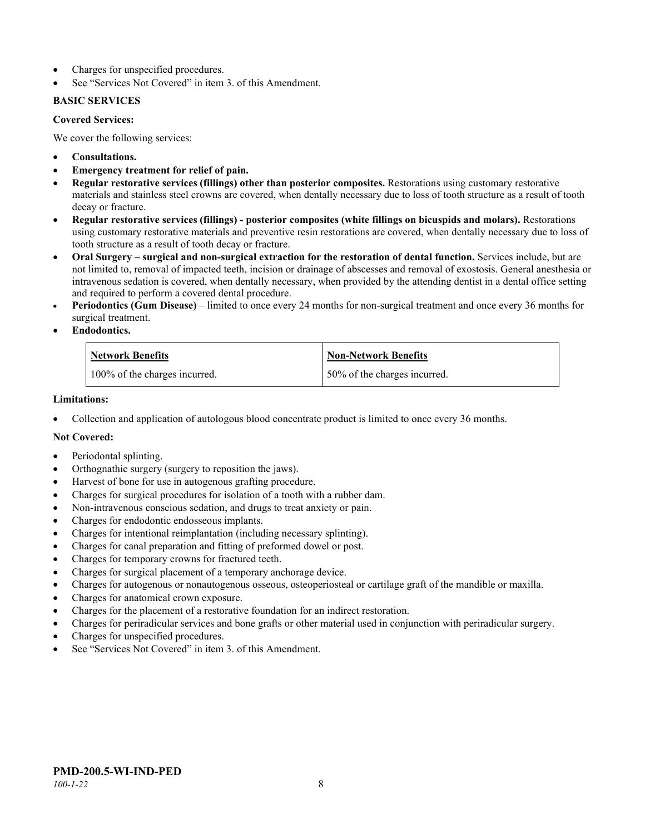- Charges for unspecified procedures.
- See "Services Not Covered" in item 3. of this Amendment.

### **BASIC SERVICES**

#### **Covered Services:**

We cover the following services:

- **Consultations.**
- **Emergency treatment for relief of pain.**
- **Regular restorative services (fillings) other than posterior composites.** Restorations using customary restorative materials and stainless steel crowns are covered, when dentally necessary due to loss of tooth structure as a result of tooth decay or fracture.
- **Regular restorative services (fillings) - posterior composites (white fillings on bicuspids and molars).** Restorations using customary restorative materials and preventive resin restorations are covered, when dentally necessary due to loss of tooth structure as a result of tooth decay or fracture.
- **Oral Surgery – surgical and non-surgical extraction for the restoration of dental function.** Services include, but are not limited to, removal of impacted teeth, incision or drainage of abscesses and removal of exostosis. General anesthesia or intravenous sedation is covered, when dentally necessary, when provided by the attending dentist in a dental office setting and required to perform a covered dental procedure.
- **Periodontics (Gum Disease)** limited to once every 24 months for non-surgical treatment and once every 36 months for surgical treatment.
- **Endodontics.**

| <b>Network Benefits</b>       | <b>Non-Network Benefits</b>  |
|-------------------------------|------------------------------|
| 100% of the charges incurred. | 50% of the charges incurred. |

#### **Limitations:**

• Collection and application of autologous blood concentrate product is limited to once every 36 months.

## **Not Covered:**

- Periodontal splinting.
- Orthognathic surgery (surgery to reposition the jaws).
- Harvest of bone for use in autogenous grafting procedure.
- Charges for surgical procedures for isolation of a tooth with a rubber dam.
- Non-intravenous conscious sedation, and drugs to treat anxiety or pain.
- Charges for endodontic endosseous implants.
- Charges for intentional reimplantation (including necessary splinting).
- Charges for canal preparation and fitting of preformed dowel or post.
- Charges for temporary crowns for fractured teeth.
- Charges for surgical placement of a temporary anchorage device.
- Charges for autogenous or nonautogenous osseous, osteoperiosteal or cartilage graft of the mandible or maxilla.
- Charges for anatomical crown exposure.
- Charges for the placement of a restorative foundation for an indirect restoration.
- Charges for periradicular services and bone grafts or other material used in conjunction with periradicular surgery.
- Charges for unspecified procedures.
- See "Services Not Covered" in item 3. of this Amendment.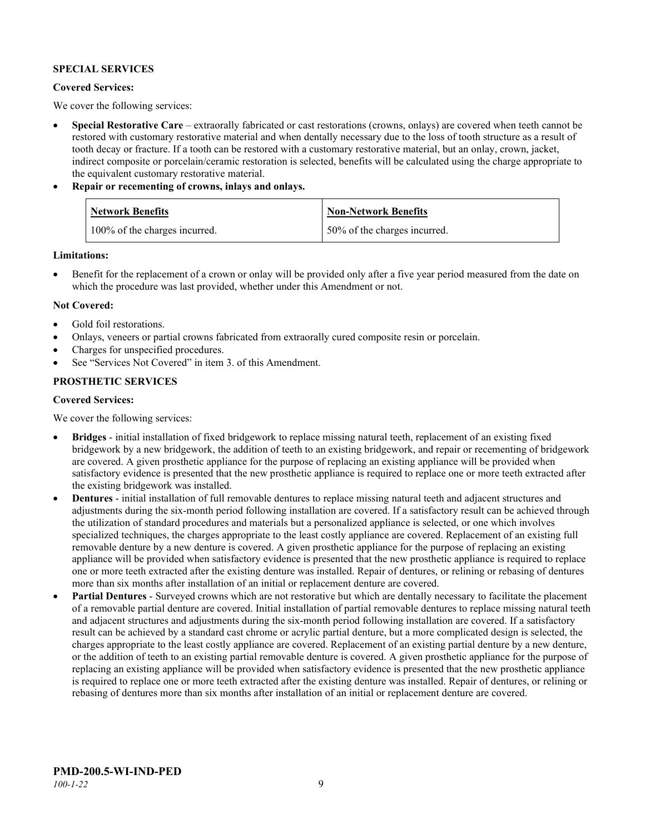### **SPECIAL SERVICES**

#### **Covered Services:**

We cover the following services:

- **Special Restorative Care** extraorally fabricated or cast restorations (crowns, onlays) are covered when teeth cannot be restored with customary restorative material and when dentally necessary due to the loss of tooth structure as a result of tooth decay or fracture. If a tooth can be restored with a customary restorative material, but an onlay, crown, jacket, indirect composite or porcelain/ceramic restoration is selected, benefits will be calculated using the charge appropriate to the equivalent customary restorative material.
- **Repair or recementing of crowns, inlays and onlays.**

| Network Benefits              | Non-Network Benefits         |
|-------------------------------|------------------------------|
| 100% of the charges incurred. | 50% of the charges incurred. |

**Limitations:**

• Benefit for the replacement of a crown or onlay will be provided only after a five year period measured from the date on which the procedure was last provided, whether under this Amendment or not.

#### **Not Covered:**

- Gold foil restorations.
- Onlays, veneers or partial crowns fabricated from extraorally cured composite resin or porcelain.
- Charges for unspecified procedures.
- See "Services Not Covered" in item 3. of this Amendment.

### **PROSTHETIC SERVICES**

#### **Covered Services:**

We cover the following services:

- **Bridges** initial installation of fixed bridgework to replace missing natural teeth, replacement of an existing fixed bridgework by a new bridgework, the addition of teeth to an existing bridgework, and repair or recementing of bridgework are covered. A given prosthetic appliance for the purpose of replacing an existing appliance will be provided when satisfactory evidence is presented that the new prosthetic appliance is required to replace one or more teeth extracted after the existing bridgework was installed.
- **Dentures** initial installation of full removable dentures to replace missing natural teeth and adjacent structures and adjustments during the six-month period following installation are covered. If a satisfactory result can be achieved through the utilization of standard procedures and materials but a personalized appliance is selected, or one which involves specialized techniques, the charges appropriate to the least costly appliance are covered. Replacement of an existing full removable denture by a new denture is covered. A given prosthetic appliance for the purpose of replacing an existing appliance will be provided when satisfactory evidence is presented that the new prosthetic appliance is required to replace one or more teeth extracted after the existing denture was installed. Repair of dentures, or relining or rebasing of dentures more than six months after installation of an initial or replacement denture are covered.
- **Partial Dentures** Surveyed crowns which are not restorative but which are dentally necessary to facilitate the placement of a removable partial denture are covered. Initial installation of partial removable dentures to replace missing natural teeth and adjacent structures and adjustments during the six-month period following installation are covered. If a satisfactory result can be achieved by a standard cast chrome or acrylic partial denture, but a more complicated design is selected, the charges appropriate to the least costly appliance are covered. Replacement of an existing partial denture by a new denture, or the addition of teeth to an existing partial removable denture is covered. A given prosthetic appliance for the purpose of replacing an existing appliance will be provided when satisfactory evidence is presented that the new prosthetic appliance is required to replace one or more teeth extracted after the existing denture was installed. Repair of dentures, or relining or rebasing of dentures more than six months after installation of an initial or replacement denture are covered.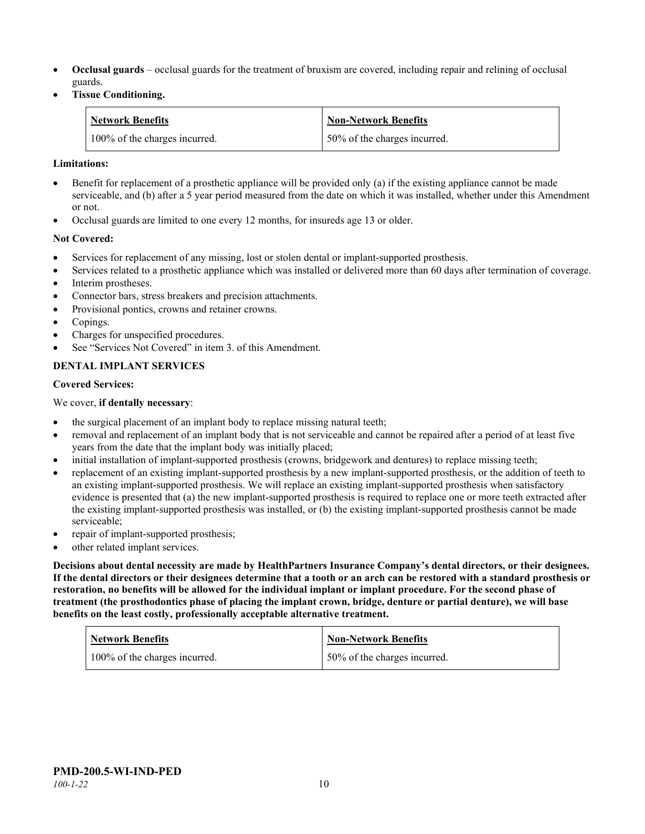- **Occlusal guards** occlusal guards for the treatment of bruxism are covered, including repair and relining of occlusal guards.
- **Tissue Conditioning.**

| <b>Network Benefits</b>       | <b>Non-Network Benefits</b>  |
|-------------------------------|------------------------------|
| 100% of the charges incurred. | 50% of the charges incurred. |

#### **Limitations:**

- Benefit for replacement of a prosthetic appliance will be provided only (a) if the existing appliance cannot be made serviceable, and (b) after a 5 year period measured from the date on which it was installed, whether under this Amendment or not.
- Occlusal guards are limited to one every 12 months, for insureds age 13 or older.

### **Not Covered:**

- Services for replacement of any missing, lost or stolen dental or implant-supported prosthesis.
- Services related to a prosthetic appliance which was installed or delivered more than 60 days after termination of coverage. Interim prostheses.
- Connector bars, stress breakers and precision attachments.
- Provisional pontics, crowns and retainer crowns.
- Copings.
- Charges for unspecified procedures.
- See "Services Not Covered" in item 3. of this Amendment.

## **DENTAL IMPLANT SERVICES**

#### **Covered Services:**

We cover, **if dentally necessary**:

- the surgical placement of an implant body to replace missing natural teeth;
- removal and replacement of an implant body that is not serviceable and cannot be repaired after a period of at least five years from the date that the implant body was initially placed;
- initial installation of implant-supported prosthesis (crowns, bridgework and dentures) to replace missing teeth;
- replacement of an existing implant-supported prosthesis by a new implant-supported prosthesis, or the addition of teeth to an existing implant-supported prosthesis. We will replace an existing implant-supported prosthesis when satisfactory evidence is presented that (a) the new implant-supported prosthesis is required to replace one or more teeth extracted after the existing implant-supported prosthesis was installed, or (b) the existing implant-supported prosthesis cannot be made serviceable;
- repair of implant-supported prosthesis;
- other related implant services.

**Decisions about dental necessity are made by HealthPartners Insurance Company's dental directors, or their designees. If the dental directors or their designees determine that a tooth or an arch can be restored with a standard prosthesis or restoration, no benefits will be allowed for the individual implant or implant procedure. For the second phase of treatment (the prosthodontics phase of placing the implant crown, bridge, denture or partial denture), we will base benefits on the least costly, professionally acceptable alternative treatment.**

| <b>Network Benefits</b>       | <b>Non-Network Benefits</b>  |
|-------------------------------|------------------------------|
| 100% of the charges incurred. | 50% of the charges incurred. |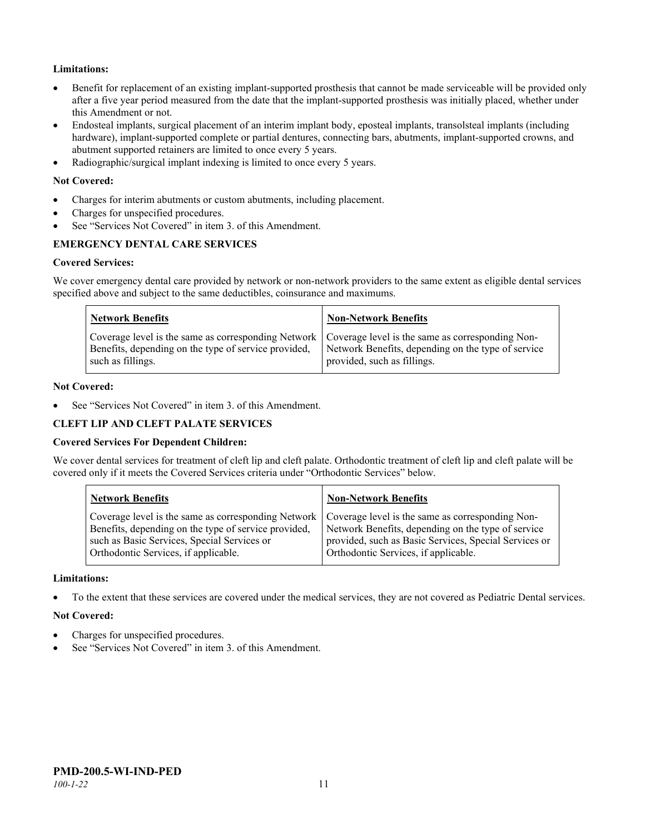## **Limitations:**

- Benefit for replacement of an existing implant-supported prosthesis that cannot be made serviceable will be provided only after a five year period measured from the date that the implant-supported prosthesis was initially placed, whether under this Amendment or not.
- Endosteal implants, surgical placement of an interim implant body, eposteal implants, transolsteal implants (including hardware), implant-supported complete or partial dentures, connecting bars, abutments, implant-supported crowns, and abutment supported retainers are limited to once every 5 years.
- Radiographic/surgical implant indexing is limited to once every 5 years.

#### **Not Covered:**

- Charges for interim abutments or custom abutments, including placement.
- Charges for unspecified procedures.
- See "Services Not Covered" in item 3. of this Amendment.

## **EMERGENCY DENTAL CARE SERVICES**

#### **Covered Services:**

We cover emergency dental care provided by network or non-network providers to the same extent as eligible dental services specified above and subject to the same deductibles, coinsurance and maximums.

| <b>Network Benefits</b>                                                                                                                                                             | <b>Non-Network Benefits</b>                                                       |
|-------------------------------------------------------------------------------------------------------------------------------------------------------------------------------------|-----------------------------------------------------------------------------------|
| Coverage level is the same as corresponding Network   Coverage level is the same as corresponding Non-<br>Benefits, depending on the type of service provided,<br>such as fillings. | Network Benefits, depending on the type of service<br>provided, such as fillings. |

#### **Not Covered:**

See "Services Not Covered" in item 3. of this Amendment.

#### **CLEFT LIP AND CLEFT PALATE SERVICES**

#### **Covered Services For Dependent Children:**

We cover dental services for treatment of cleft lip and cleft palate. Orthodontic treatment of cleft lip and cleft palate will be covered only if it meets the Covered Services criteria under "Orthodontic Services" below.

| <b>Network Benefits</b>                              | <b>Non-Network Benefits</b>                           |
|------------------------------------------------------|-------------------------------------------------------|
| Coverage level is the same as corresponding Network  | Coverage level is the same as corresponding Non-      |
| Benefits, depending on the type of service provided, | Network Benefits, depending on the type of service    |
| such as Basic Services, Special Services or          | provided, such as Basic Services, Special Services or |
| Orthodontic Services, if applicable.                 | Orthodontic Services, if applicable.                  |

#### **Limitations:**

• To the extent that these services are covered under the medical services, they are not covered as Pediatric Dental services.

#### **Not Covered:**

- Charges for unspecified procedures.
- See "Services Not Covered" in item 3. of this Amendment.